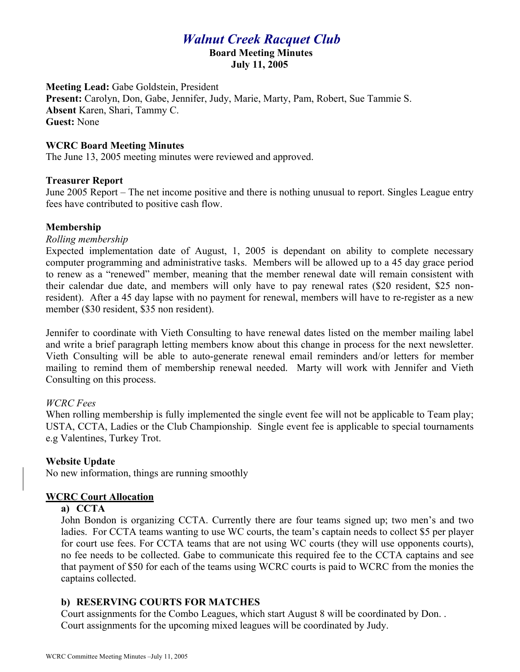# *Walnut Creek Racquet Club*

**Board Meeting Minutes**

**July 11, 2005**

**Meeting Lead:** Gabe Goldstein, President

**Present:** Carolyn, Don, Gabe, Jennifer, Judy, Marie, Marty, Pam, Robert, Sue Tammie S. **Absent** Karen, Shari, Tammy C. **Guest:** None

## **WCRC Board Meeting Minutes**

The June 13, 2005 meeting minutes were reviewed and approved.

## **Treasurer Report**

June 2005 Report – The net income positive and there is nothing unusual to report. Singles League entry fees have contributed to positive cash flow.

## **Membership**

#### *Rolling membership*

Expected implementation date of August, 1, 2005 is dependant on ability to complete necessary computer programming and administrative tasks. Members will be allowed up to a 45 day grace period to renew as a "renewed" member, meaning that the member renewal date will remain consistent with their calendar due date, and members will only have to pay renewal rates (\$20 resident, \$25 nonresident). After a 45 day lapse with no payment for renewal, members will have to re-register as a new member (\$30 resident, \$35 non resident).

Jennifer to coordinate with Vieth Consulting to have renewal dates listed on the member mailing label and write a brief paragraph letting members know about this change in process for the next newsletter. Vieth Consulting will be able to auto-generate renewal email reminders and/or letters for member mailing to remind them of membership renewal needed. Marty will work with Jennifer and Vieth Consulting on this process.

# *WCRC Fees*

When rolling membership is fully implemented the single event fee will not be applicable to Team play; USTA, CCTA, Ladies or the Club Championship. Single event fee is applicable to special tournaments e.g Valentines, Turkey Trot.

# **Website Update**

No new information, things are running smoothly

# **WCRC Court Allocation**

#### **a) CCTA**

John Bondon is organizing CCTA. Currently there are four teams signed up; two men's and two ladies. For CCTA teams wanting to use WC courts, the team's captain needs to collect \$5 per player for court use fees. For CCTA teams that are not using WC courts (they will use opponents courts), no fee needs to be collected. Gabe to communicate this required fee to the CCTA captains and see that payment of \$50 for each of the teams using WCRC courts is paid to WCRC from the monies the captains collected.

# **b) RESERVING COURTS FOR MATCHES**

Court assignments for the Combo Leagues, which start August 8 will be coordinated by Don. . Court assignments for the upcoming mixed leagues will be coordinated by Judy.